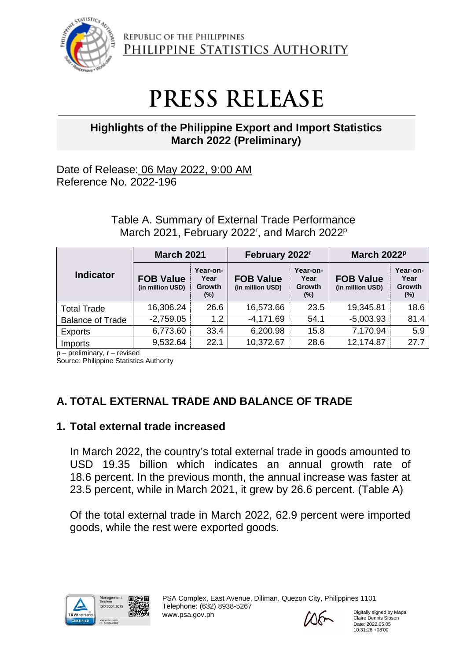

REPUBLIC OF THE PHILIPPINES PHILIPPINE STATISTICS AUTHORITY

# **PRESS RELEASE**

# **Highlights of the Philippine Export and Import Statistics March 2022 (Preliminary)**

Date of Release: 06 May 2022, 9:00 AM Reference No. 2022-196

> Table A. Summary of External Trade Performance March 2021, February 2022<sup>r</sup>, and March 2022<sup>p</sup>

|                         | <b>March 2021</b>                    |                                             | February 2022 <sup>r</sup>           |                                      | March 2022P                          |                                             |
|-------------------------|--------------------------------------|---------------------------------------------|--------------------------------------|--------------------------------------|--------------------------------------|---------------------------------------------|
| <b>Indicator</b>        | <b>FOB Value</b><br>(in million USD) | Year-on-<br>Year<br><b>Growth</b><br>$(\%)$ | <b>FOB Value</b><br>(in million USD) | Year-on-<br>Year<br>Growth<br>$(\%)$ | <b>FOB Value</b><br>(in million USD) | Year-on-<br>Year<br><b>Growth</b><br>$(\%)$ |
| <b>Total Trade</b>      | 16,306.24                            | 26.6                                        | 16,573.66                            | 23.5                                 | 19,345.81                            | 18.6                                        |
| <b>Balance of Trade</b> | $-2,759.05$                          | 1.2                                         | $-4,171.69$                          | 54.1                                 | $-5,003.93$                          | 81.4                                        |
| <b>Exports</b>          | 6,773.60                             | 33.4                                        | 6,200.98                             | 15.8                                 | 7,170.94                             | 5.9                                         |
| Imports                 | 9,532.64                             | 22.1                                        | 10,372.67                            | 28.6                                 | 12,174.87                            | 27.7                                        |

p – preliminary, r – revised

Source: Philippine Statistics Authority

# **A. TOTAL EXTERNAL TRADE AND BALANCE OF TRADE**

## **1. Total external trade increased**

In March 2022, the country's total external trade in goods amounted to USD 19.35 billion which indicates an annual growth rate of 18.6 percent. In the previous month, the annual increase was faster at 23.5 percent, while in March 2021, it grew by 26.6 percent. (Table A)

Of the total external trade in March 2022, 62.9 percent were imported goods, while the rest were exported goods.

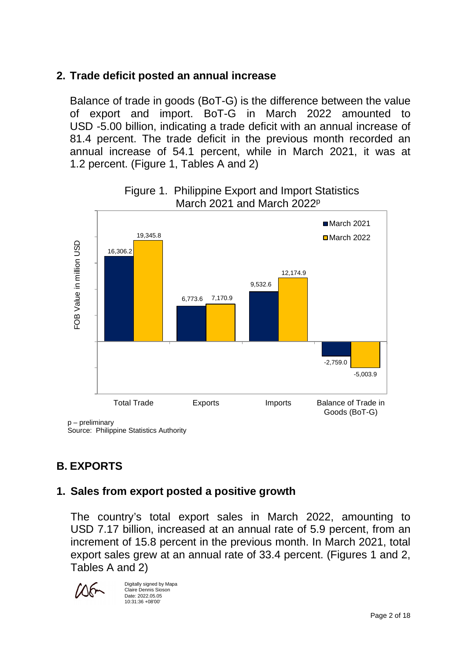# **2. Trade deficit posted an annual increase**

Balance of trade in goods (BoT-G) is the difference between the value of export and import. BoT-G in March 2022 amounted to USD -5.00 billion, indicating a trade deficit with an annual increase of 81.4 percent. The trade deficit in the previous month recorded an annual increase of 54.1 percent, while in March 2021, it was at 1.2 percent. (Figure 1, Tables A and 2)



## Figure 1. Philippine Export and Import Statistics March 2021 and March 2022p

p – preliminary

Source: Philippine Statistics Authority

# **B. EXPORTS**

# **1. Sales from export posted a positive growth**

The country's total export sales in March 2022, amounting to USD 7.17 billion, increased at an annual rate of 5.9 percent, from an increment of 15.8 percent in the previous month. In March 2021, total export sales grew at an annual rate of 33.4 percent. (Figures 1 and 2, Tables A and 2)



Digitally signed by Mapa Claire Dennis Sioson Date: 2022.05.05 10:31:36 +08'00'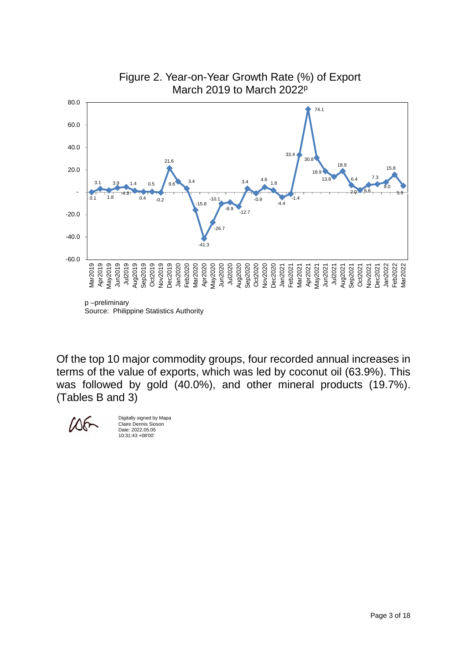

Source: Philippine Statistics Authority

Of the top 10 major commodity groups, four recorded annual increases in terms of the value of exports, which was led by coconut oil (63.9%). This was followed by gold (40.0%), and other mineral products (19.7%). (Tables B and 3)



Digitally signed by Mapa Claire Dennis Sioson Date: 2022.05.05 10:31:43 +08'00'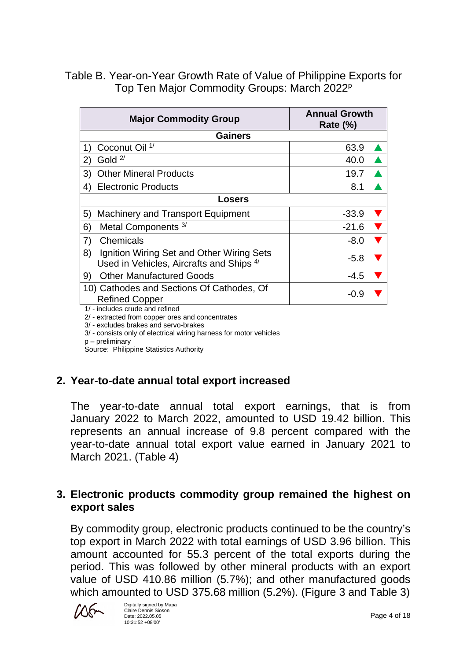## Table B. Year-on-Year Growth Rate of Value of Philippine Exports for Top Ten Major Commodity Groups: March 2022<sup>p</sup>

|                                                                                                     | <b>Major Commodity Group</b>                                                          | <b>Annual Growth</b><br><b>Rate (%)</b> |  |  |  |
|-----------------------------------------------------------------------------------------------------|---------------------------------------------------------------------------------------|-----------------------------------------|--|--|--|
|                                                                                                     | <b>Gainers</b>                                                                        |                                         |  |  |  |
|                                                                                                     | Coconut Oil <sup>1/</sup>                                                             | 63.9                                    |  |  |  |
| (2)                                                                                                 | Gold $2/$                                                                             | 40.0                                    |  |  |  |
| 3)                                                                                                  | <b>Other Mineral Products</b>                                                         | 19.7                                    |  |  |  |
| 4)                                                                                                  | <b>Electronic Products</b>                                                            | 8.1                                     |  |  |  |
|                                                                                                     | Losers                                                                                |                                         |  |  |  |
| 5)                                                                                                  | <b>Machinery and Transport Equipment</b>                                              | $-33.9$                                 |  |  |  |
| 6)                                                                                                  | Metal Components <sup>3/</sup>                                                        | $-21.6$                                 |  |  |  |
| 7)                                                                                                  | Chemicals                                                                             | $-8.0$                                  |  |  |  |
| 8)                                                                                                  | Ignition Wiring Set and Other Wiring Sets<br>Used in Vehicles, Aircrafts and Ships 4/ | $-5.8$                                  |  |  |  |
| 9)                                                                                                  | <b>Other Manufactured Goods</b>                                                       | -4.5                                    |  |  |  |
| 10) Cathodes and Sections Of Cathodes, Of<br><b>Refined Copper</b><br>1/-includes crude and refined |                                                                                       | $-0.9$                                  |  |  |  |

1/ - includes crude and refined

2/ - extracted from copper ores and concentrates

3/ - excludes brakes and servo-brakes

3/ - consists only of electrical wiring harness for motor vehicles

p – preliminary

Source: Philippine Statistics Authority

## **2. Year-to-date annual total export increased**

The year-to-date annual total export earnings, that is from January 2022 to March 2022, amounted to USD 19.42 billion. This represents an annual increase of 9.8 percent compared with the year-to-date annual total export value earned in January 2021 to March 2021. (Table 4)

## **3. Electronic products commodity group remained the highest on export sales**

By commodity group, electronic products continued to be the country's top export in March 2022 with total earnings of USD 3.96 billion. This amount accounted for 55.3 percent of the total exports during the period. This was followed by other mineral products with an export value of USD 410.86 million (5.7%); and other manufactured goods which amounted to USD 375.68 million (5.2%). (Figure 3 and Table 3)

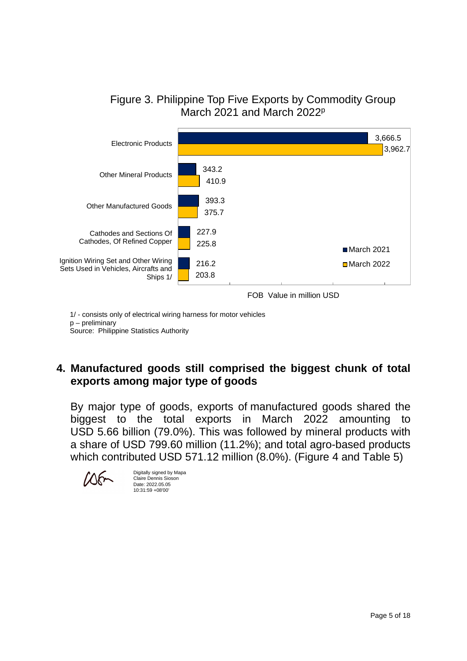



1/ - consists only of electrical wiring harness for motor vehicles

p – preliminary

Source: Philippine Statistics Authority

## **4. Manufactured goods still comprised the biggest chunk of total exports among major type of goods**

By major type of goods, exports of manufactured goods shared the biggest to the total exports in March 2022 amounting to USD 5.66 billion (79.0%). This was followed by mineral products with a share of USD 799.60 million (11.2%); and total agro-based products which contributed USD 571.12 million (8.0%). (Figure 4 and Table 5)



Digitally signed by Mapa Claire Dennis Sioson Date: 2022.05.05 10:31:59 +08'00'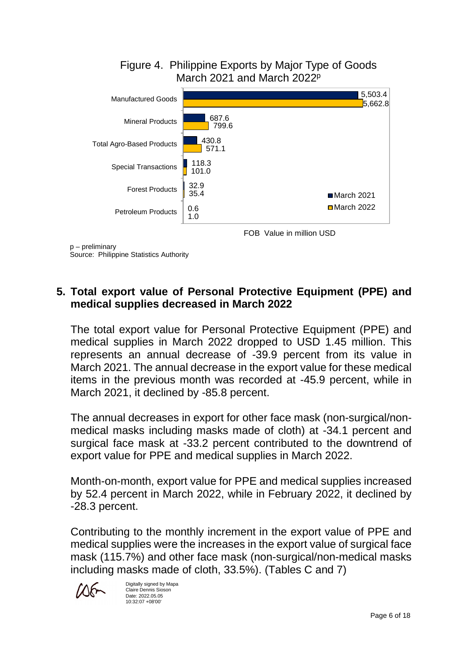

p – preliminary Source: Philippine Statistics Authority

## **5. Total export value of Personal Protective Equipment (PPE) and medical supplies decreased in March 2022**

The total export value for Personal Protective Equipment (PPE) and medical supplies in March 2022 dropped to USD 1.45 million. This represents an annual decrease of -39.9 percent from its value in March 2021. The annual decrease in the export value for these medical items in the previous month was recorded at -45.9 percent, while in March 2021, it declined by -85.8 percent.

The annual decreases in export for other face mask (non-surgical/nonmedical masks including masks made of cloth) at -34.1 percent and surgical face mask at -33.2 percent contributed to the downtrend of export value for PPE and medical supplies in March 2022.

Month-on-month, export value for PPE and medical supplies increased by 52.4 percent in March 2022, while in February 2022, it declined by -28.3 percent.

Contributing to the monthly increment in the export value of PPE and medical supplies were the increases in the export value of surgical face mask (115.7%) and other face mask (non-surgical/non-medical masks including masks made of cloth, 33.5%). (Tables C and 7)



Digitally signed by Mapa Claire Dennis Sioson Date: 2022.05.05 10:32:07 +08'00'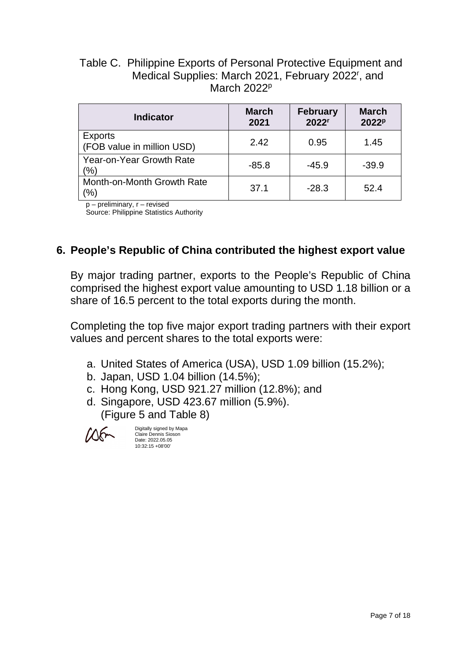## Table C. Philippine Exports of Personal Protective Equipment and Medical Supplies: March 2021, February 2022<sup>r</sup>, and March 2022<sup>p</sup>

| <b>Indicator</b>                             | <b>March</b><br>2021 | <b>February</b><br>2022 <sup>r</sup> | <b>March</b><br>2022 <sup>p</sup> |
|----------------------------------------------|----------------------|--------------------------------------|-----------------------------------|
| <b>Exports</b><br>(FOB value in million USD) | 2.42                 | 0.95                                 | 1.45                              |
| Year-on-Year Growth Rate<br>(%)              | $-85.8$              | $-45.9$                              | $-39.9$                           |
| Month-on-Month Growth Rate<br>(%)            | 37.1                 | $-28.3$                              | 52.4                              |

p – preliminary, r – revised

Source: Philippine Statistics Authority

## **6. People's Republic of China contributed the highest export value**

By major trading partner, exports to the People's Republic of China comprised the highest export value amounting to USD 1.18 billion or a share of 16.5 percent to the total exports during the month.

Completing the top five major export trading partners with their export values and percent shares to the total exports were:

- a. United States of America (USA), USD 1.09 billion (15.2%);
- b. Japan, USD 1.04 billion (14.5%);
- c. Hong Kong, USD 921.27 million (12.8%); and
- d. Singapore, USD 423.67 million (5.9%). (Figure 5 and Table 8)

Digitally signed by Mapa Claire Dennis Sioson Date: 2022.05.05 10:32:15 +08'00'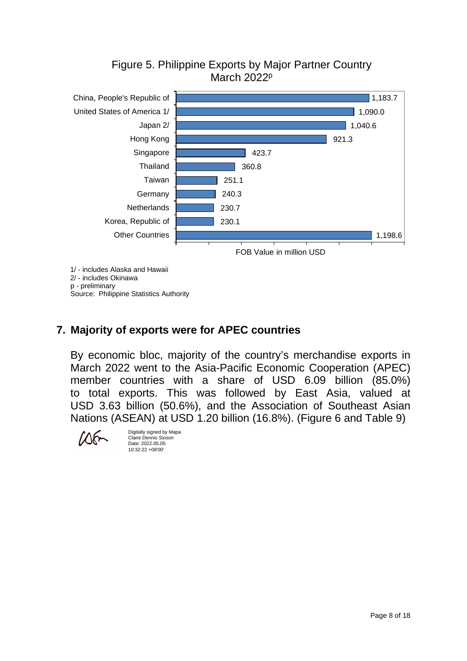



## **7. Majority of exports were for APEC countries**

By economic bloc, majority of the country's merchandise exports in March 2022 went to the Asia-Pacific Economic Cooperation (APEC) member countries with a share of USD 6.09 billion (85.0%) to total exports. This was followed by East Asia, valued at USD 3.63 billion (50.6%), and the Association of Southeast Asian Nations (ASEAN) at USD 1.20 billion (16.8%). (Figure 6 and Table 9)



Digitally signed by Mapa Claire Dennis Sioson Date: 2022.05.05 10:32:22 +08'00'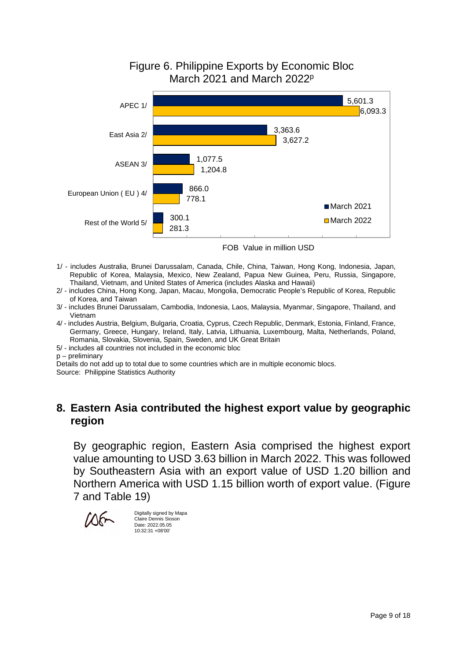#### 5,601.3 3,363.6 1,077.5 866.0 300.1  $6.093.3$ 3,627.2 1,204.8 778.1 281.3 APEC 1/ East Asia 2/ ASEAN 3/ European Union ( EU ) 4/ Rest of the World 5/ March 2021  $March$  2022

Figure 6. Philippine Exports by Economic Bloc March 2021 and March 2022p

- 1/ includes Australia, Brunei Darussalam, Canada, Chile, China, Taiwan, Hong Kong, Indonesia, Japan, Republic of Korea, Malaysia, Mexico, New Zealand, Papua New Guinea, Peru, Russia, Singapore, Thailand, Vietnam, and United States of America (includes Alaska and Hawaii)
- 2/ includes China, Hong Kong, Japan, Macau, Mongolia, Democratic People's Republic of Korea, Republic of Korea, and Taiwan
- 3/ includes Brunei Darussalam, Cambodia, Indonesia, Laos, Malaysia, Myanmar, Singapore, Thailand, and Vietnam
- 4/ includes Austria, Belgium, Bulgaria, Croatia, Cyprus, Czech Republic, Denmark, Estonia, Finland, France, Germany, Greece, Hungary, Ireland, Italy, Latvia, Lithuania, Luxembourg, Malta, Netherlands, Poland, Romania, Slovakia, Slovenia, Spain, Sweden, and UK Great Britain
- 5/ includes all countries not included in the economic bloc
- p preliminary

Details do not add up to total due to some countries which are in multiple economic blocs.

Source: Philippine Statistics Authority

### **8. Eastern Asia contributed the highest export value by geographic region**

By geographic region, Eastern Asia comprised the highest export value amounting to USD 3.63 billion in March 2022. This was followed by Southeastern Asia with an export value of USD 1.20 billion and Northern America with USD 1.15 billion worth of export value. (Figure 7 and Table 19)



Digitally signed by Mapa Claire Dennis Sioson Date: 2022.05.05 10:32:31 +08'00'

FOB Value in million USD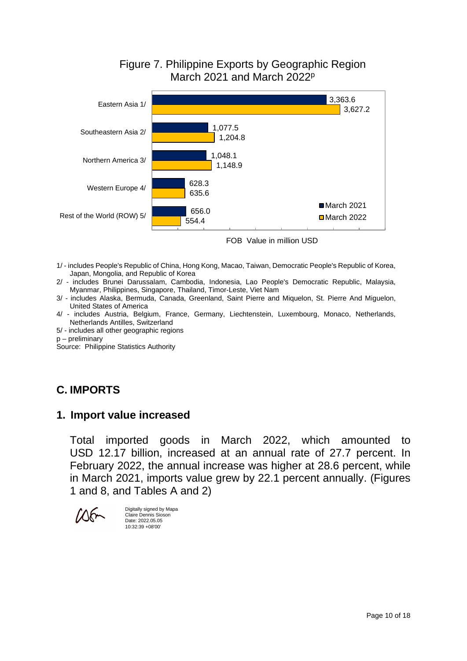## Figure 7. Philippine Exports by Geographic Region March 2021 and March 2022p



FOB Value in million USD

- 1/ includes People's Republic of China, Hong Kong, Macao, Taiwan, Democratic People's Republic of Korea, Japan, Mongolia, and Republic of Korea
- 2/ includes Brunei Darussalam, Cambodia, Indonesia, Lao People's Democratic Republic, Malaysia, Myanmar, Philippines, Singapore, Thailand, Timor-Leste, Viet Nam
- 3/ includes Alaska, Bermuda, Canada, Greenland, Saint Pierre and Miquelon, St. Pierre And Miguelon, United States of America
- 4/ includes Austria, Belgium, France, Germany, Liechtenstein, Luxembourg, Monaco, Netherlands, Netherlands Antilles, Switzerland
- 5/ includes all other geographic regions
- p preliminary

Source: Philippine Statistics Authority

## **C. IMPORTS**

#### **1. Import value increased**

Total imported goods in March 2022, which amounted to USD 12.17 billion, increased at an annual rate of 27.7 percent. In February 2022, the annual increase was higher at 28.6 percent, while in March 2021, imports value grew by 22.1 percent annually. (Figures 1 and 8, and Tables A and 2)

Digitally signed by Mapa Claire Dennis Sioson Date: 2022.05.05 10:32:39 +08'00'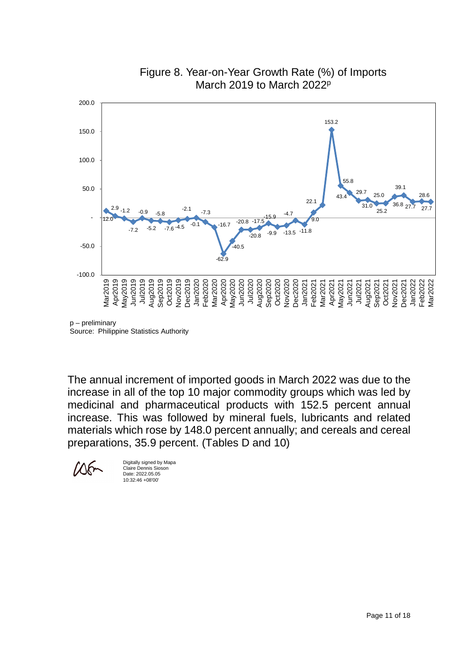

Figure 8. Year-on-Year Growth Rate (%) of Imports March 2019 to March 2022<sup>p</sup>

p – preliminary Source: Philippine Statistics Authority

The annual increment of imported goods in March 2022 was due to the increase in all of the top 10 major commodity groups which was led by medicinal and pharmaceutical products with 152.5 percent annual increase. This was followed by mineral fuels, lubricants and related materials which rose by 148.0 percent annually; and cereals and cereal preparations, 35.9 percent. (Tables D and 10)

Digitally signed by Mapa Claire Dennis Sioson Date: 2022.05.05 10:32:46 +08'00'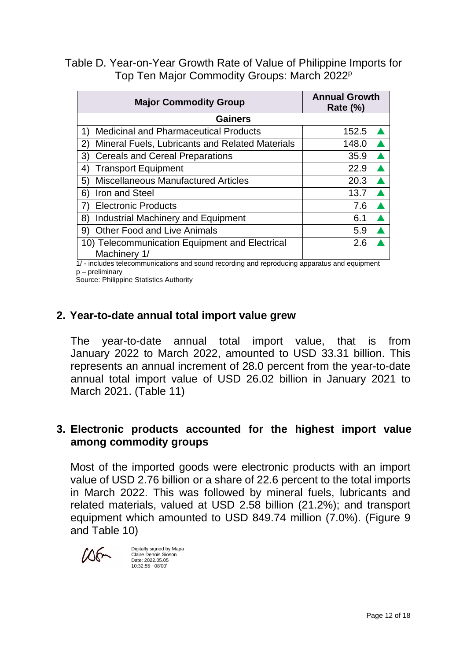Table D. Year-on-Year Growth Rate of Value of Philippine Imports for Top Ten Major Commodity Groups: March 2022<sup>p</sup>

| <b>Major Commodity Group</b>                                    | <b>Annual Growth</b><br><b>Rate (%)</b> |  |  |  |
|-----------------------------------------------------------------|-----------------------------------------|--|--|--|
| <b>Gainers</b>                                                  |                                         |  |  |  |
| <b>Medicinal and Pharmaceutical Products</b><br>1)              | 152.5                                   |  |  |  |
| Mineral Fuels, Lubricants and Related Materials<br>$\mathbf{2}$ | 148.0                                   |  |  |  |
| <b>Cereals and Cereal Preparations</b><br>3)                    | 35.9                                    |  |  |  |
| <b>Transport Equipment</b><br>4)                                | 22.9                                    |  |  |  |
| <b>Miscellaneous Manufactured Articles</b><br>5)                | 20.3                                    |  |  |  |
| Iron and Steel<br>6)                                            | 13.7                                    |  |  |  |
| <b>Electronic Products</b><br>7)                                | 7.6                                     |  |  |  |
| <b>Industrial Machinery and Equipment</b><br>8)                 | 6.1                                     |  |  |  |
| <b>Other Food and Live Animals</b><br>9)                        | 5.9                                     |  |  |  |
| 10) Telecommunication Equipment and Electrical<br>Machinery 1/  | 2.6                                     |  |  |  |

 1/ - includes telecommunications and sound recording and reproducing apparatus and equipment p – preliminary

Source: Philippine Statistics Authority

## **2. Year-to-date annual total import value grew**

The year-to-date annual total import value, that is from January 2022 to March 2022, amounted to USD 33.31 billion. This represents an annual increment of 28.0 percent from the year-to-date annual total import value of USD 26.02 billion in January 2021 to March 2021. (Table 11)

## **3. Electronic products accounted for the highest import value among commodity groups**

Most of the imported goods were electronic products with an import value of USD 2.76 billion or a share of 22.6 percent to the total imports in March 2022. This was followed by mineral fuels, lubricants and related materials, valued at USD 2.58 billion (21.2%); and transport equipment which amounted to USD 849.74 million (7.0%). (Figure 9 and Table 10)



Digitally signed by Mapa Claire Dennis Sioson Date: 2022.05.05 10:32:55 +08'00'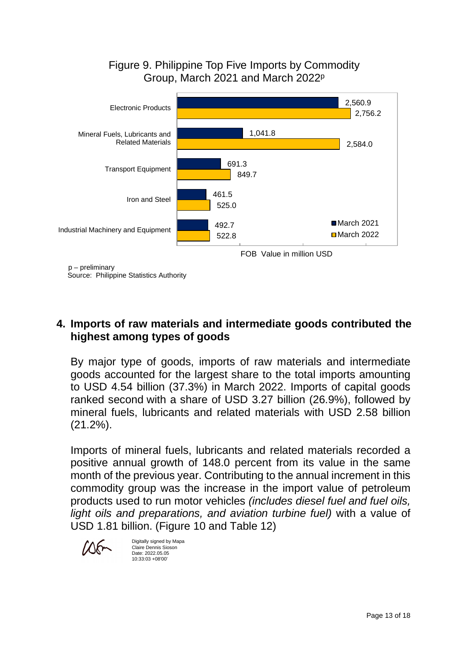## Figure 9. Philippine Top Five Imports by Commodity Group, March 2021 and March 2022p



Source: Philippine Statistics Authority

## **4. Imports of raw materials and intermediate goods contributed the highest among types of goods**

By major type of goods, imports of raw materials and intermediate goods accounted for the largest share to the total imports amounting to USD 4.54 billion (37.3%) in March 2022. Imports of capital goods ranked second with a share of USD 3.27 billion (26.9%), followed by mineral fuels, lubricants and related materials with USD 2.58 billion (21.2%).

Imports of mineral fuels, lubricants and related materials recorded a positive annual growth of 148.0 percent from its value in the same month of the previous year. Contributing to the annual increment in this commodity group was the increase in the import value of petroleum products used to run motor vehicles *(includes diesel fuel and fuel oils, light oils and preparations, and aviation turbine fuel)* with a value of USD 1.81 billion. (Figure 10 and Table 12)



Digitally signed by Mapa Claire Dennis Sioson Date: 2022.05.05 10:33:03 +08'00'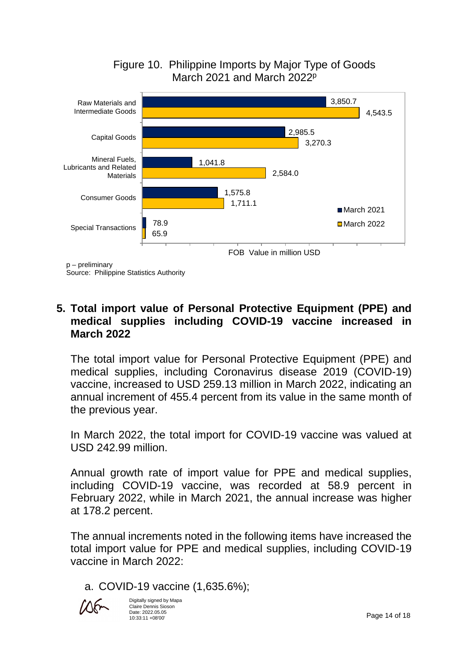



Source: Philippine Statistics Authority

## **5. Total import value of Personal Protective Equipment (PPE) and medical supplies including COVID-19 vaccine increased in March 2022**

The total import value for Personal Protective Equipment (PPE) and medical supplies, including Coronavirus disease 2019 (COVID-19) vaccine, increased to USD 259.13 million in March 2022, indicating an annual increment of 455.4 percent from its value in the same month of the previous year.

In March 2022, the total import for COVID-19 vaccine was valued at USD 242.99 million.

Annual growth rate of import value for PPE and medical supplies, including COVID-19 vaccine, was recorded at 58.9 percent in February 2022, while in March 2021, the annual increase was higher at 178.2 percent.

The annual increments noted in the following items have increased the total import value for PPE and medical supplies, including COVID-19 vaccine in March 2022:

a. COVID-19 vaccine (1,635.6%);



Digitally signed by Mapa Claire Dennis Sioson Date: 2022.05.05 10:33:11 +08'00'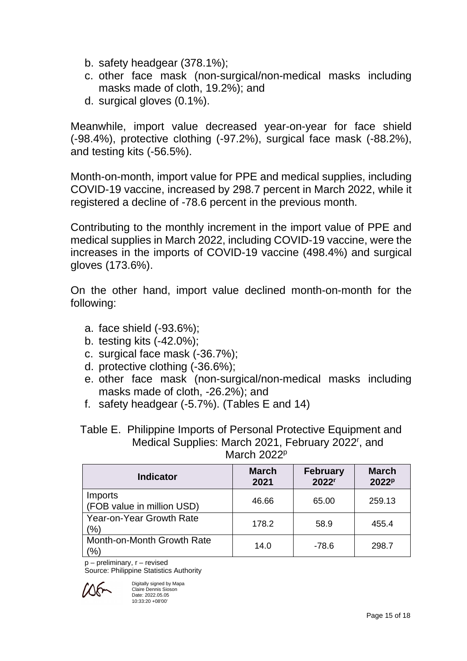- b. safety headgear (378.1%);
- c. other face mask (non-surgical/non-medical masks including masks made of cloth, 19.2%); and
- d. surgical gloves (0.1%).

Meanwhile, import value decreased year-on-year for face shield (-98.4%), protective clothing (-97.2%), surgical face mask (-88.2%), and testing kits (-56.5%).

Month-on-month, import value for PPE and medical supplies, including COVID-19 vaccine, increased by 298.7 percent in March 2022, while it registered a decline of -78.6 percent in the previous month.

Contributing to the monthly increment in the import value of PPE and medical supplies in March 2022, including COVID-19 vaccine, were the increases in the imports of COVID-19 vaccine (498.4%) and surgical gloves (173.6%).

On the other hand, import value declined month-on-month for the following:

- a. face shield (-93.6%);
- b. testing kits (-42.0%);
- c. surgical face mask (-36.7%);
- d. protective clothing (-36.6%);
- e. other face mask (non-surgical/non-medical masks including masks made of cloth, -26.2%); and
- f. safety headgear (-5.7%). (Tables E and 14)

Table E. Philippine Imports of Personal Protective Equipment and Medical Supplies: March 2021, February 2022<sup>r</sup>, and March 2022<sup>p</sup>

| <b>Indicator</b>                      | <b>March</b><br>2021 | <b>February</b><br>2022 <sup>r</sup> | <b>March</b><br>2022 <sup>p</sup> |
|---------------------------------------|----------------------|--------------------------------------|-----------------------------------|
| Imports<br>(FOB value in million USD) | 46.66                | 65.00                                | 259.13                            |
| Year-on-Year Growth Rate<br>(%)       | 178.2                | 58.9                                 | 455.4                             |
| Month-on-Month Growth Rate<br>$\%$    | 14.0                 | $-78.6$                              | 298.7                             |

p – preliminary, r – revised

Source: Philippine Statistics Authority



Digitally signed by Mapa Claire Dennis Sioson Date: 2022.05.05 10:33:20 +08'00'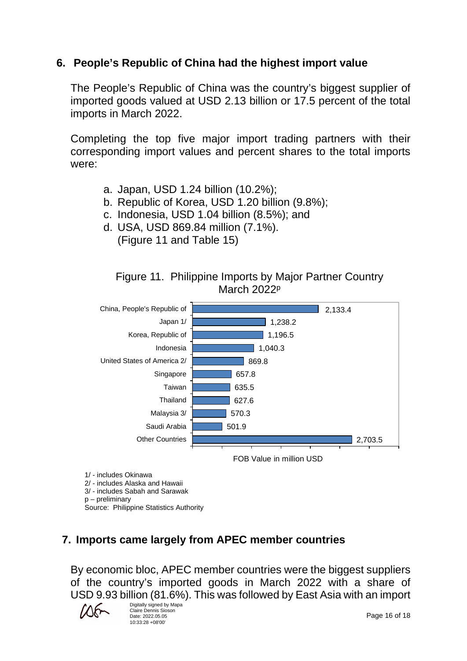## **6. People's Republic of China had the highest import value**

The People's Republic of China was the country's biggest supplier of imported goods valued at USD 2.13 billion or 17.5 percent of the total imports in March 2022.

Completing the top five major import trading partners with their corresponding import values and percent shares to the total imports were:

- a. Japan, USD 1.24 billion (10.2%);
- b. Republic of Korea, USD 1.20 billion (9.8%);
- c. Indonesia, USD 1.04 billion (8.5%); and
- d. USA, USD 869.84 million (7.1%). (Figure 11 and Table 15)





2/ - includes Alaska and Hawaii

- 3/ includes Sabah and Sarawak
- p preliminary

Source: Philippine Statistics Authority

# **7. Imports came largely from APEC member countries**

By economic bloc, APEC member countries were the biggest suppliers of the country's imported goods in March 2022 with a share of USD 9.93 billion (81.6%). This was followed by East Asia with an import

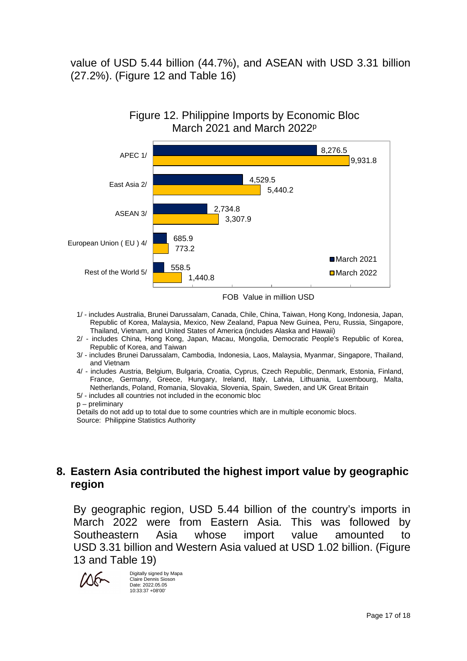value of USD 5.44 billion (44.7%), and ASEAN with USD 3.31 billion (27.2%). (Figure 12 and Table 16)



Figure 12. Philippine Imports by Economic Bloc March 2021 and March 2022p

FOB Value in million USD

- 1/ includes Australia, Brunei Darussalam, Canada, Chile, China, Taiwan, Hong Kong, Indonesia, Japan, Republic of Korea, Malaysia, Mexico, New Zealand, Papua New Guinea, Peru, Russia, Singapore, Thailand, Vietnam, and United States of America (includes Alaska and Hawaii)
- 2/ includes China, Hong Kong, Japan, Macau, Mongolia, Democratic People's Republic of Korea, Republic of Korea, and Taiwan
- 3/ includes Brunei Darussalam, Cambodia, Indonesia, Laos, Malaysia, Myanmar, Singapore, Thailand, and Vietnam
- 4/ includes Austria, Belgium, Bulgaria, Croatia, Cyprus, Czech Republic, Denmark, Estonia, Finland, France, Germany, Greece, Hungary, Ireland, Italy, Latvia, Lithuania, Luxembourg, Malta, Netherlands, Poland, Romania, Slovakia, Slovenia, Spain, Sweden, and UK Great Britain

5/ - includes all countries not included in the economic bloc

p – preliminary

Details do not add up to total due to some countries which are in multiple economic blocs. Source: Philippine Statistics Authority

## **8. Eastern Asia contributed the highest import value by geographic region**

By geographic region, USD 5.44 billion of the country's imports in March 2022 were from Eastern Asia. This was followed by Southeastern Asia whose import value amounted to USD 3.31 billion and Western Asia valued at USD 1.02 billion. (Figure 13 and Table 19)



Digitally signed by Mapa Claire Dennis Sioson Date: 2022.05.05 10:33:37 +08'00'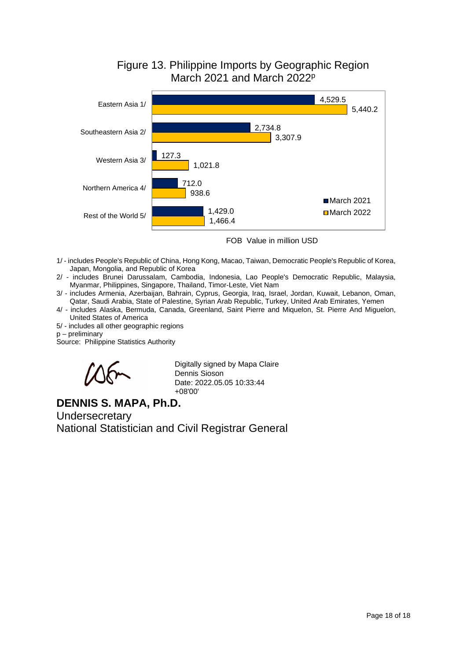

## Figure 13. Philippine Imports by Geographic Region March 2021 and March 2022<sup>p</sup>

FOB Value in million USD

- 1/ includes People's Republic of China, Hong Kong, Macao, Taiwan, Democratic People's Republic of Korea, Japan, Mongolia, and Republic of Korea
- 2/ includes Brunei Darussalam, Cambodia, Indonesia, Lao People's Democratic Republic, Malaysia, Myanmar, Philippines, Singapore, Thailand, Timor-Leste, Viet Nam
- 3/ includes Armenia, Azerbaijan, Bahrain, Cyprus, Georgia, Iraq, Israel, Jordan, Kuwait, Lebanon, Oman, Qatar, Saudi Arabia, State of Palestine, Syrian Arab Republic, Turkey, United Arab Emirates, Yemen
- 4/ includes Alaska, Bermuda, Canada, Greenland, Saint Pierre and Miquelon, St. Pierre And Miguelon, United States of America
- 5/ includes all other geographic regions
- p preliminary

Source: Philippine Statistics Authority



Digitally signed by Mapa Claire Dennis Sioson Date: 2022.05.05 10:33:44 +08'00'

## **DENNIS S. MAPA, Ph.D.**

**Undersecretary** National Statistician and Civil Registrar General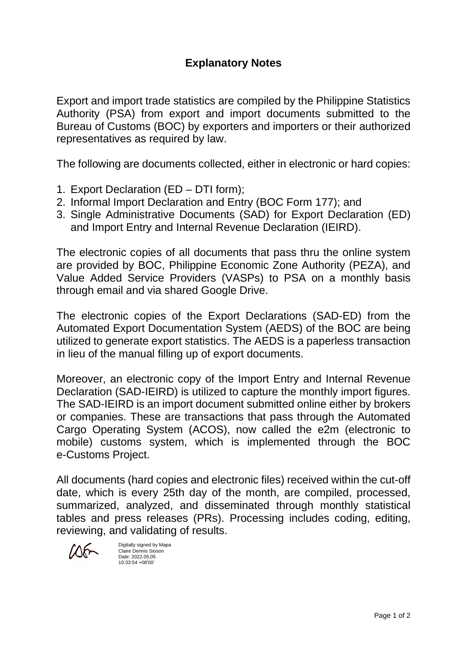Export and import trade statistics are compiled by the Philippine Statistics Authority (PSA) from export and import documents submitted to the Bureau of Customs (BOC) by exporters and importers or their authorized representatives as required by law.

The following are documents collected, either in electronic or hard copies:

- 1. Export Declaration (ED DTI form);
- 2. Informal Import Declaration and Entry (BOC Form 177); and
- 3. Single Administrative Documents (SAD) for Export Declaration (ED) and Import Entry and Internal Revenue Declaration (IEIRD).

The electronic copies of all documents that pass thru the online system are provided by BOC, Philippine Economic Zone Authority (PEZA), and Value Added Service Providers (VASPs) to PSA on a monthly basis through email and via shared Google Drive.

The electronic copies of the Export Declarations (SAD-ED) from the Automated Export Documentation System (AEDS) of the BOC are being utilized to generate export statistics. The AEDS is a paperless transaction in lieu of the manual filling up of export documents.

Moreover, an electronic copy of the Import Entry and Internal Revenue Declaration (SAD-IEIRD) is utilized to capture the monthly import figures. The SAD-IEIRD is an import document submitted online either by brokers or companies. These are transactions that pass through the Automated Cargo Operating System (ACOS), now called the e2m (electronic to mobile) customs system, which is implemented through the BOC e-Customs Project.

All documents (hard copies and electronic files) received within the cut-off date, which is every 25th day of the month, are compiled, processed, summarized, analyzed, and disseminated through monthly statistical tables and press releases (PRs). Processing includes coding, editing, reviewing, and validating of results.

 $M_{\odot}$ 

Digitally signed by Mapa Claire Dennis Sioson Date: 2022.05.05 10:33:54 +08'00'